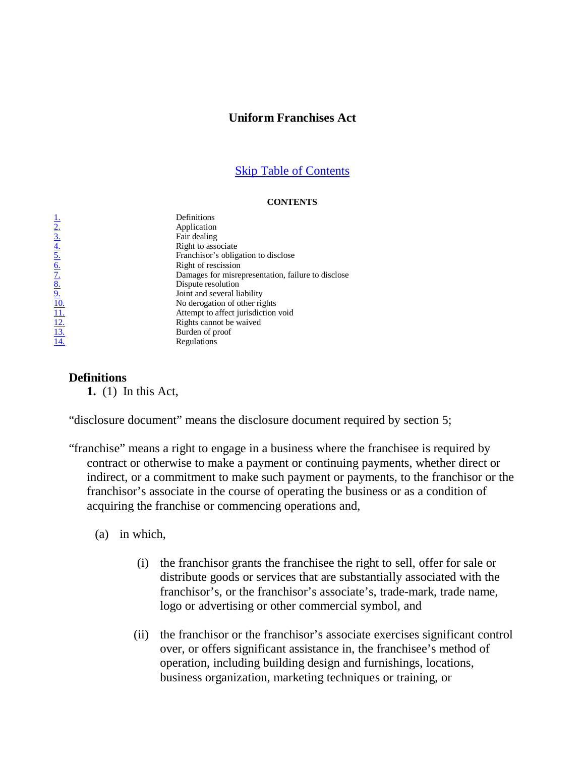### **Uniform Franchises Act**

#### Skip Table of Contents

#### **CONTENTS**

1. Definitions<br>  $\frac{2}{3}$ . Application<br>  $\frac{3}{5}$ . Fair dealing<br>  $\frac{4}{5}$ . Right to ass<br>  $\frac{5}{5}$ . Franchisor':<br>  $\frac{6}{5}$ . Right of res<br>  $\frac{8}{5}$ . Dispute rese<br>  $\frac{9}{11}$ . Doint and se<br>
No derogati<br>  $\frac{11}{12}$ . Righ **Application** Fair dealing Right to associate 5. Franchisor's obligation to disclose 6. Right of rescission Damages for misrepresentation, failure to disclose Dispute resolution Joint and several liability No derogation of other rights Attempt to affect jurisdiction void Rights cannot be waived Burden of proof **Regulations** 

### **Definitions**

**1.** (1) In this Act,

"disclosure document" means the disclosure document required by section 5;

"franchise" means a right to engage in a business where the franchisee is required by contract or otherwise to make a payment or continuing payments, whether direct or indirect, or a commitment to make such payment or payments, to the franchisor or the franchisor's associate in the course of operating the business or as a condition of acquiring the franchise or commencing operations and,

(a) in which,

- (i) the franchisor grants the franchisee the right to sell, offer for sale or distribute goods or services that are substantially associated with the franchisor's, or the franchisor's associate's, trade-mark, trade name, logo or advertising or other commercial symbol, and
- (ii) the franchisor or the franchisor's associate exercises significant control over, or offers significant assistance in, the franchisee's method of operation, including building design and furnishings, locations, business organization, marketing techniques or training, or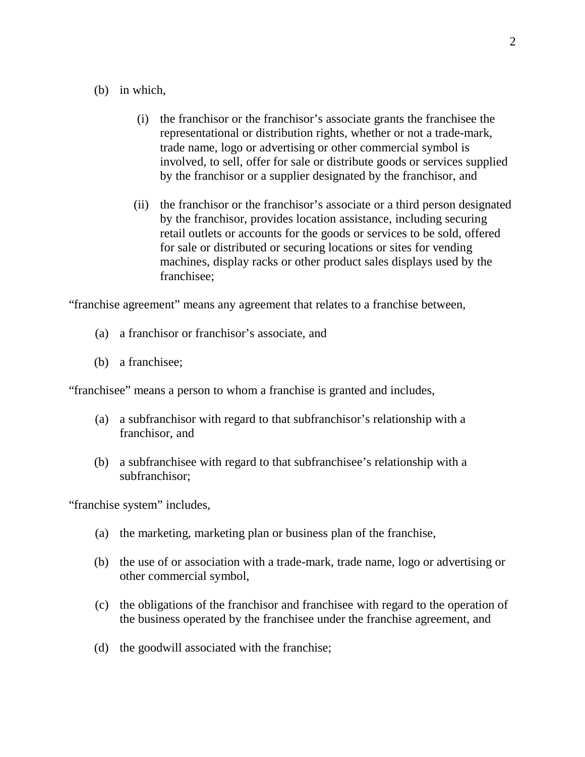### (b) in which,

- (i) the franchisor or the franchisor's associate grants the franchisee the representational or distribution rights, whether or not a trade-mark, trade name, logo or advertising or other commercial symbol is involved, to sell, offer for sale or distribute goods or services supplied by the franchisor or a supplier designated by the franchisor, and
- (ii) the franchisor or the franchisor's associate or a third person designated by the franchisor, provides location assistance, including securing retail outlets or accounts for the goods or services to be sold, offered for sale or distributed or securing locations or sites for vending machines, display racks or other product sales displays used by the franchisee;

"franchise agreement" means any agreement that relates to a franchise between,

- (a) a franchisor or franchisor's associate, and
- (b) a franchisee;

"franchisee" means a person to whom a franchise is granted and includes,

- (a) a subfranchisor with regard to that subfranchisor's relationship with a franchisor, and
- (b) a subfranchisee with regard to that subfranchisee's relationship with a subfranchisor;

"franchise system" includes,

- (a) the marketing, marketing plan or business plan of the franchise,
- (b) the use of or association with a trade-mark, trade name, logo or advertising or other commercial symbol,
- (c) the obligations of the franchisor and franchisee with regard to the operation of the business operated by the franchisee under the franchise agreement, and
- (d) the goodwill associated with the franchise;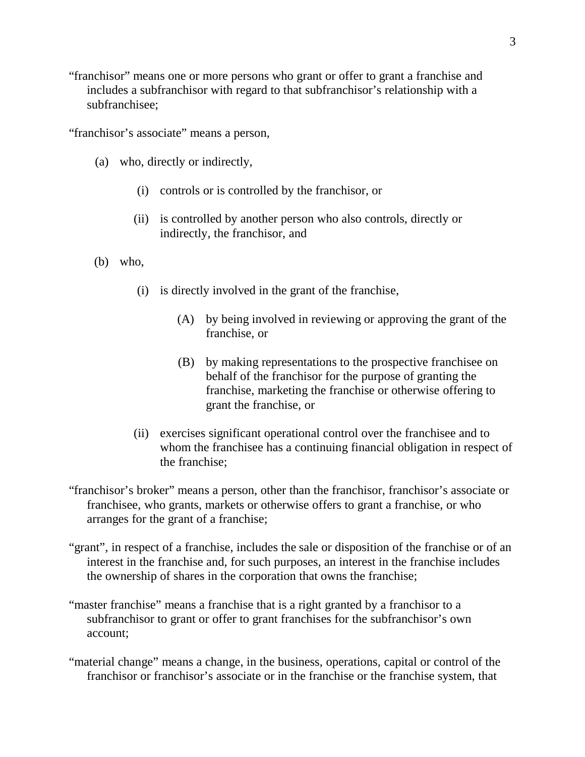"franchisor" means one or more persons who grant or offer to grant a franchise and includes a subfranchisor with regard to that subfranchisor's relationship with a subfranchisee;

"franchisor's associate" means a person,

- (a) who, directly or indirectly,
	- (i) controls or is controlled by the franchisor, or
	- (ii) is controlled by another person who also controls, directly or indirectly, the franchisor, and
- (b) who,
	- (i) is directly involved in the grant of the franchise,
		- (A) by being involved in reviewing or approving the grant of the franchise, or
		- (B) by making representations to the prospective franchisee on behalf of the franchisor for the purpose of granting the franchise, marketing the franchise or otherwise offering to grant the franchise, or
	- (ii) exercises significant operational control over the franchisee and to whom the franchisee has a continuing financial obligation in respect of the franchise;
- "franchisor's broker" means a person, other than the franchisor, franchisor's associate or franchisee, who grants, markets or otherwise offers to grant a franchise, or who arranges for the grant of a franchise;
- "grant", in respect of a franchise, includes the sale or disposition of the franchise or of an interest in the franchise and, for such purposes, an interest in the franchise includes the ownership of shares in the corporation that owns the franchise;
- "master franchise" means a franchise that is a right granted by a franchisor to a subfranchisor to grant or offer to grant franchises for the subfranchisor's own account;
- "material change" means a change, in the business, operations, capital or control of the franchisor or franchisor's associate or in the franchise or the franchise system, that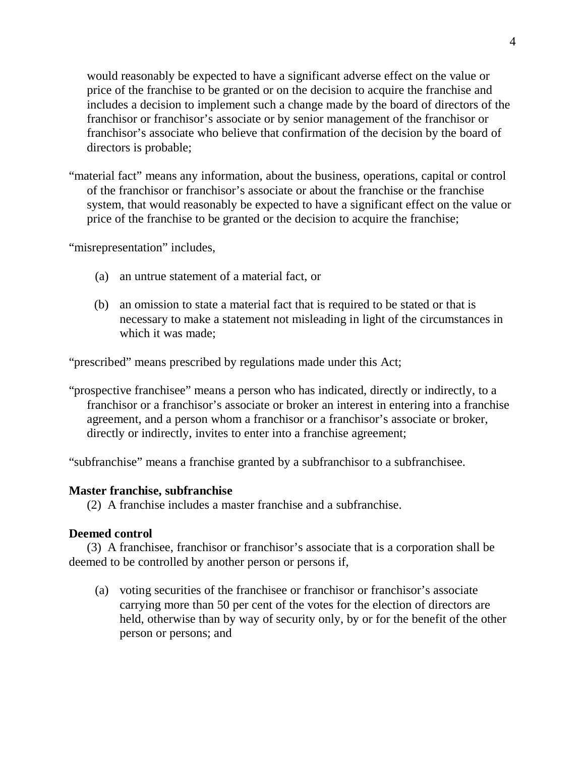would reasonably be expected to have a significant adverse effect on the value or price of the franchise to be granted or on the decision to acquire the franchise and includes a decision to implement such a change made by the board of directors of the franchisor or franchisor's associate or by senior management of the franchisor or franchisor's associate who believe that confirmation of the decision by the board of directors is probable;

"material fact" means any information, about the business, operations, capital or control of the franchisor or franchisor's associate or about the franchise or the franchise system, that would reasonably be expected to have a significant effect on the value or price of the franchise to be granted or the decision to acquire the franchise;

"misrepresentation" includes,

- (a) an untrue statement of a material fact, or
- (b) an omission to state a material fact that is required to be stated or that is necessary to make a statement not misleading in light of the circumstances in which it was made;

"prescribed" means prescribed by regulations made under this Act;

"prospective franchisee" means a person who has indicated, directly or indirectly, to a franchisor or a franchisor's associate or broker an interest in entering into a franchise agreement, and a person whom a franchisor or a franchisor's associate or broker, directly or indirectly, invites to enter into a franchise agreement;

"subfranchise" means a franchise granted by a subfranchisor to a subfranchisee.

### **Master franchise, subfranchise**

(2) A franchise includes a master franchise and a subfranchise.

### **Deemed control**

(3) A franchisee, franchisor or franchisor's associate that is a corporation shall be deemed to be controlled by another person or persons if,

(a) voting securities of the franchisee or franchisor or franchisor's associate carrying more than 50 per cent of the votes for the election of directors are held, otherwise than by way of security only, by or for the benefit of the other person or persons; and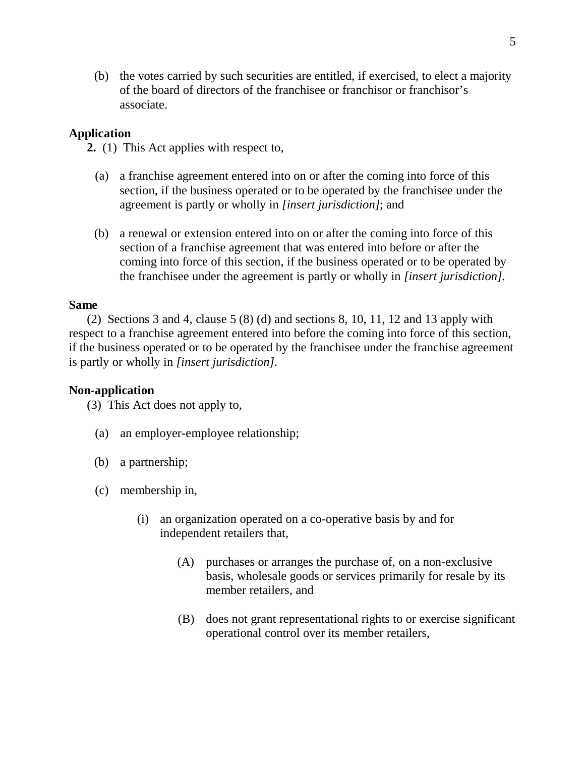(b) the votes carried by such securities are entitled, if exercised, to elect a majority of the board of directors of the franchisee or franchisor or franchisor's associate.

# **Application**

**2.** (1) This Act applies with respect to,

- (a) a franchise agreement entered into on or after the coming into force of this section, if the business operated or to be operated by the franchisee under the agreement is partly or wholly in *[insert jurisdiction]*; and
- (b) a renewal or extension entered into on or after the coming into force of this section of a franchise agreement that was entered into before or after the coming into force of this section, if the business operated or to be operated by the franchisee under the agreement is partly or wholly in *[insert jurisdiction]*.

### **Same**

(2) Sections 3 and 4, clause 5 (8) (d) and sections 8, 10, 11, 12 and 13 apply with respect to a franchise agreement entered into before the coming into force of this section, if the business operated or to be operated by the franchisee under the franchise agreement is partly or wholly in *[insert jurisdiction]*.

### **Non-application**

(3) This Act does not apply to,

- (a) an employer-employee relationship;
- (b) a partnership;
- (c) membership in,
	- (i) an organization operated on a co-operative basis by and for independent retailers that,
		- (A) purchases or arranges the purchase of, on a non-exclusive basis, wholesale goods or services primarily for resale by its member retailers, and
		- (B) does not grant representational rights to or exercise significant operational control over its member retailers,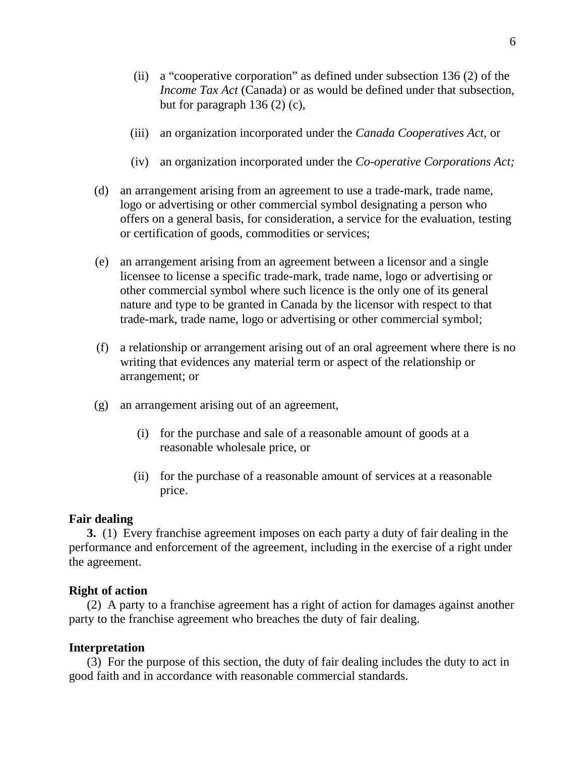- (ii) a "cooperative corporation" as defined under subsection 136 (2) of the *Income Tax Act* (Canada) or as would be defined under that subsection, but for paragraph 136 (2) (c),
- (iii) an organization incorporated under the *Canada Cooperatives Act*, or
- (iv) an organization incorporated under the *Co-operative Corporations Act;*
- (d) an arrangement arising from an agreement to use a trade-mark, trade name, logo or advertising or other commercial symbol designating a person who offers on a general basis, for consideration, a service for the evaluation, testing or certification of goods, commodities or services;
- (e) an arrangement arising from an agreement between a licensor and a single licensee to license a specific trade-mark, trade name, logo or advertising or other commercial symbol where such licence is the only one of its general nature and type to be granted in Canada by the licensor with respect to that trade-mark, trade name, logo or advertising or other commercial symbol;
- (f) a relationship or arrangement arising out of an oral agreement where there is no writing that evidences any material term or aspect of the relationship or arrangement; or
- (g) an arrangement arising out of an agreement,
	- (i) for the purchase and sale of a reasonable amount of goods at a reasonable wholesale price, or
	- (ii) for the purchase of a reasonable amount of services at a reasonable price.

#### **Fair dealing**

**3.** (1) Every franchise agreement imposes on each party a duty of fair dealing in the performance and enforcement of the agreement, including in the exercise of a right under the agreement.

#### **Right of action**

(2) A party to a franchise agreement has a right of action for damages against another party to the franchise agreement who breaches the duty of fair dealing.

#### **Interpretation**

(3) For the purpose of this section, the duty of fair dealing includes the duty to act in good faith and in accordance with reasonable commercial standards.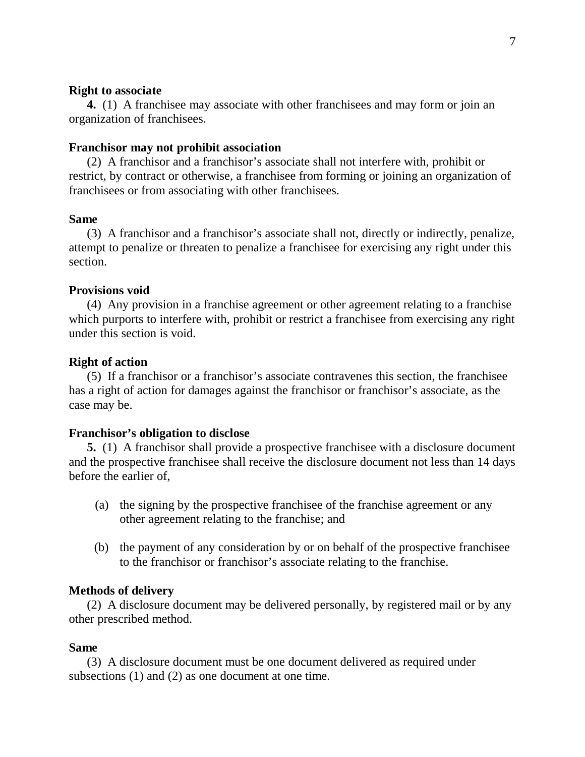#### **Right to associate**

**4.** (1) A franchisee may associate with other franchisees and may form or join an organization of franchisees.

#### **Franchisor may not prohibit association**

(2) A franchisor and a franchisor's associate shall not interfere with, prohibit or restrict, by contract or otherwise, a franchisee from forming or joining an organization of franchisees or from associating with other franchisees.

#### **Same**

(3) A franchisor and a franchisor's associate shall not, directly or indirectly, penalize, attempt to penalize or threaten to penalize a franchisee for exercising any right under this section.

#### **Provisions void**

(4) Any provision in a franchise agreement or other agreement relating to a franchise which purports to interfere with, prohibit or restrict a franchisee from exercising any right under this section is void.

#### **Right of action**

(5) If a franchisor or a franchisor's associate contravenes this section, the franchisee has a right of action for damages against the franchisor or franchisor's associate, as the case may be.

#### **Franchisor's obligation to disclose**

**5.** (1) A franchisor shall provide a prospective franchisee with a disclosure document and the prospective franchisee shall receive the disclosure document not less than 14 days before the earlier of,

- (a) the signing by the prospective franchisee of the franchise agreement or any other agreement relating to the franchise; and
- (b) the payment of any consideration by or on behalf of the prospective franchisee to the franchisor or franchisor's associate relating to the franchise.

#### **Methods of delivery**

(2) A disclosure document may be delivered personally, by registered mail or by any other prescribed method.

#### **Same**

(3) A disclosure document must be one document delivered as required under subsections (1) and (2) as one document at one time.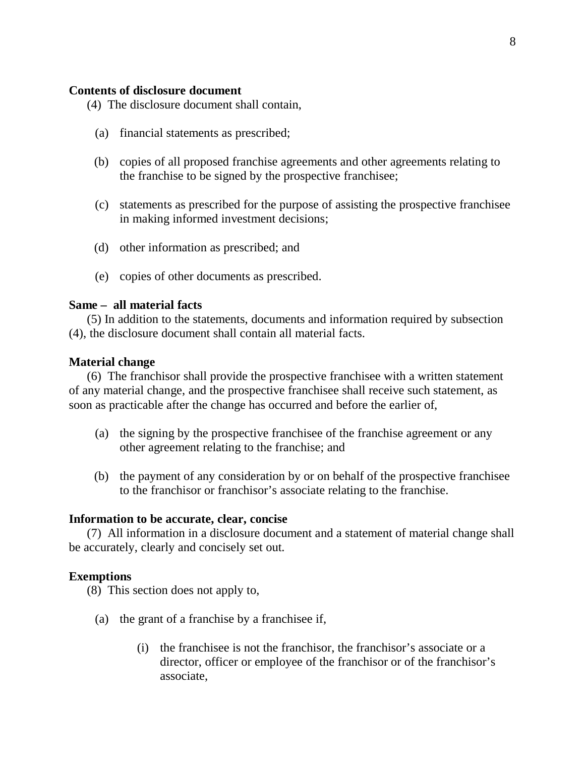### **Contents of disclosure document**

- (4) The disclosure document shall contain,
	- (a) financial statements as prescribed;
	- (b) copies of all proposed franchise agreements and other agreements relating to the franchise to be signed by the prospective franchisee;
	- (c) statements as prescribed for the purpose of assisting the prospective franchisee in making informed investment decisions;
	- (d) other information as prescribed; and
	- (e) copies of other documents as prescribed.

#### **Same – all material facts**

(5) In addition to the statements, documents and information required by subsection (4), the disclosure document shall contain all material facts.

#### **Material change**

(6) The franchisor shall provide the prospective franchisee with a written statement of any material change, and the prospective franchisee shall receive such statement, as soon as practicable after the change has occurred and before the earlier of,

- (a) the signing by the prospective franchisee of the franchise agreement or any other agreement relating to the franchise; and
- (b) the payment of any consideration by or on behalf of the prospective franchisee to the franchisor or franchisor's associate relating to the franchise.

#### **Information to be accurate, clear, concise**

(7) All information in a disclosure document and a statement of material change shall be accurately, clearly and concisely set out.

#### **Exemptions**

(8) This section does not apply to,

- (a) the grant of a franchise by a franchisee if,
	- (i) the franchisee is not the franchisor, the franchisor's associate or a director, officer or employee of the franchisor or of the franchisor's associate,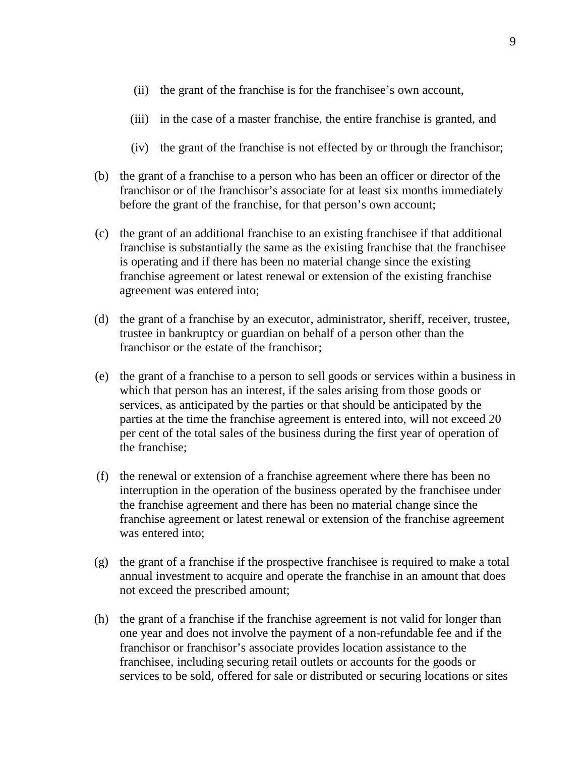- (ii) the grant of the franchise is for the franchisee's own account,
- (iii) in the case of a master franchise, the entire franchise is granted, and
- (iv) the grant of the franchise is not effected by or through the franchisor;
- (b) the grant of a franchise to a person who has been an officer or director of the franchisor or of the franchisor's associate for at least six months immediately before the grant of the franchise, for that person's own account;
- (c) the grant of an additional franchise to an existing franchisee if that additional franchise is substantially the same as the existing franchise that the franchisee is operating and if there has been no material change since the existing franchise agreement or latest renewal or extension of the existing franchise agreement was entered into;
- (d) the grant of a franchise by an executor, administrator, sheriff, receiver, trustee, trustee in bankruptcy or guardian on behalf of a person other than the franchisor or the estate of the franchisor;
- (e) the grant of a franchise to a person to sell goods or services within a business in which that person has an interest, if the sales arising from those goods or services, as anticipated by the parties or that should be anticipated by the parties at the time the franchise agreement is entered into, will not exceed 20 per cent of the total sales of the business during the first year of operation of the franchise;
- (f) the renewal or extension of a franchise agreement where there has been no interruption in the operation of the business operated by the franchisee under the franchise agreement and there has been no material change since the franchise agreement or latest renewal or extension of the franchise agreement was entered into;
- (g) the grant of a franchise if the prospective franchisee is required to make a total annual investment to acquire and operate the franchise in an amount that does not exceed the prescribed amount;
- (h) the grant of a franchise if the franchise agreement is not valid for longer than one year and does not involve the payment of a non-refundable fee and if the franchisor or franchisor's associate provides location assistance to the franchisee, including securing retail outlets or accounts for the goods or services to be sold, offered for sale or distributed or securing locations or sites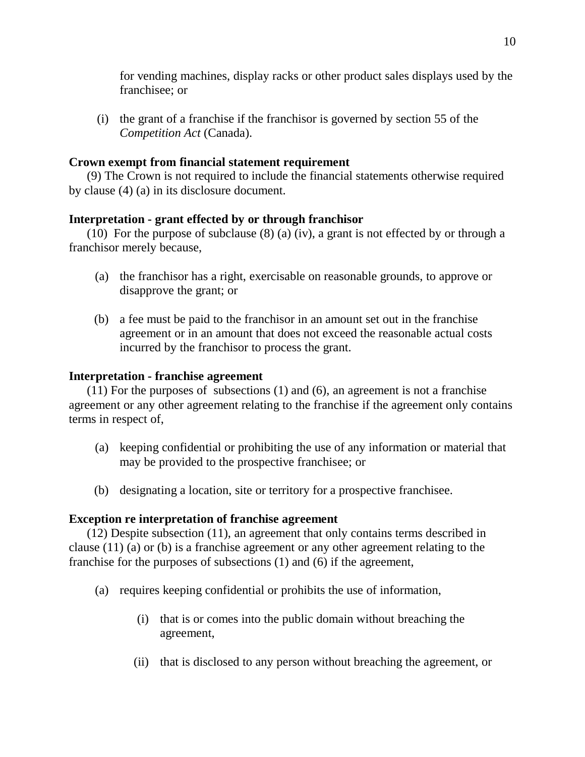for vending machines, display racks or other product sales displays used by the franchisee; or

(i) the grant of a franchise if the franchisor is governed by section 55 of the *Competition Act* (Canada).

# **Crown exempt from financial statement requirement**

(9) The Crown is not required to include the financial statements otherwise required by clause (4) (a) in its disclosure document.

# **Interpretation - grant effected by or through franchisor**

(10) For the purpose of subclause (8) (a) (iv), a grant is not effected by or through a franchisor merely because,

- (a) the franchisor has a right, exercisable on reasonable grounds, to approve or disapprove the grant; or
- (b) a fee must be paid to the franchisor in an amount set out in the franchise agreement or in an amount that does not exceed the reasonable actual costs incurred by the franchisor to process the grant.

# **Interpretation - franchise agreement**

(11) For the purposes of subsections (1) and (6), an agreement is not a franchise agreement or any other agreement relating to the franchise if the agreement only contains terms in respect of,

- (a) keeping confidential or prohibiting the use of any information or material that may be provided to the prospective franchisee; or
- (b) designating a location, site or territory for a prospective franchisee.

# **Exception re interpretation of franchise agreement**

(12) Despite subsection (11), an agreement that only contains terms described in clause (11) (a) or (b) is a franchise agreement or any other agreement relating to the franchise for the purposes of subsections (1) and (6) if the agreement,

- (a) requires keeping confidential or prohibits the use of information,
	- (i) that is or comes into the public domain without breaching the agreement,
	- (ii) that is disclosed to any person without breaching the agreement, or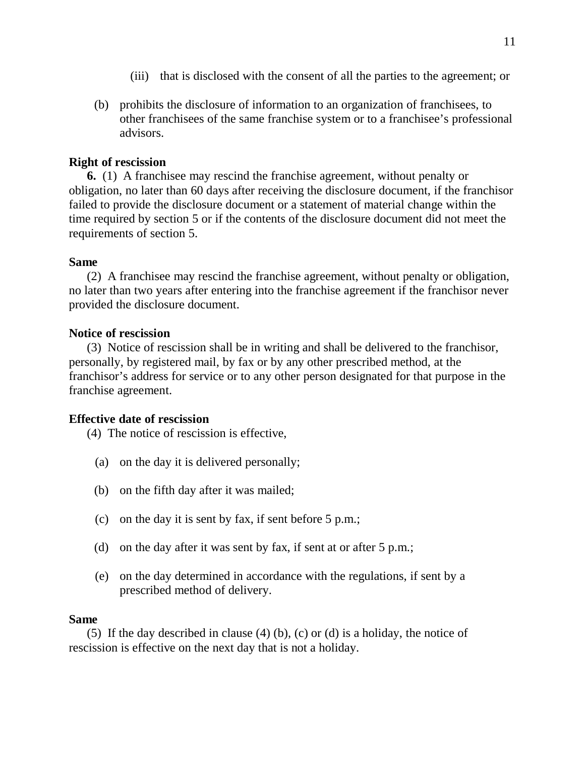- (iii) that is disclosed with the consent of all the parties to the agreement; or
- (b) prohibits the disclosure of information to an organization of franchisees, to other franchisees of the same franchise system or to a franchisee's professional advisors.

# **Right of rescission**

**6.** (1) A franchisee may rescind the franchise agreement, without penalty or obligation, no later than 60 days after receiving the disclosure document, if the franchisor failed to provide the disclosure document or a statement of material change within the time required by section 5 or if the contents of the disclosure document did not meet the requirements of section 5.

### **Same**

(2) A franchisee may rescind the franchise agreement, without penalty or obligation, no later than two years after entering into the franchise agreement if the franchisor never provided the disclosure document.

### **Notice of rescission**

(3) Notice of rescission shall be in writing and shall be delivered to the franchisor, personally, by registered mail, by fax or by any other prescribed method, at the franchisor's address for service or to any other person designated for that purpose in the franchise agreement.

### **Effective date of rescission**

(4) The notice of rescission is effective,

- (a) on the day it is delivered personally;
- (b) on the fifth day after it was mailed;
- (c) on the day it is sent by fax, if sent before 5 p.m.;
- (d) on the day after it was sent by fax, if sent at or after 5 p.m.;
- (e) on the day determined in accordance with the regulations, if sent by a prescribed method of delivery.

### **Same**

(5) If the day described in clause (4) (b), (c) or (d) is a holiday, the notice of rescission is effective on the next day that is not a holiday.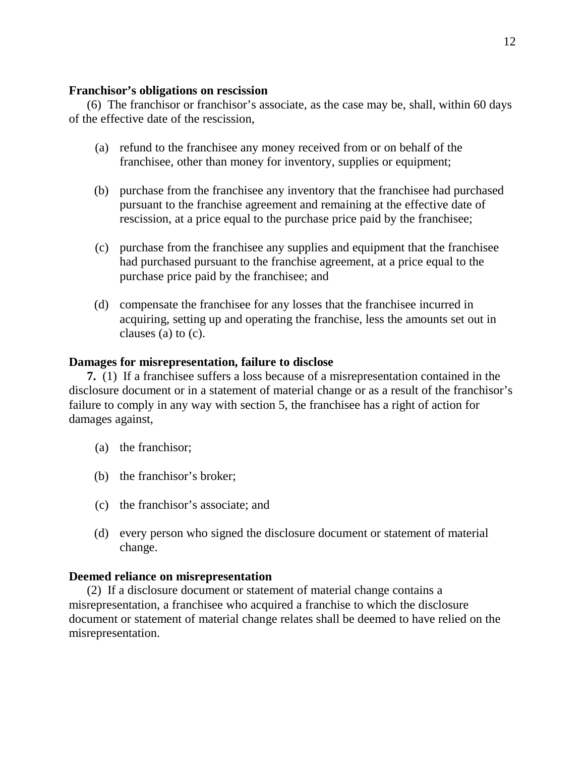### **Franchisor's obligations on rescission**

(6) The franchisor or franchisor's associate, as the case may be, shall, within 60 days of the effective date of the rescission,

- (a) refund to the franchisee any money received from or on behalf of the franchisee, other than money for inventory, supplies or equipment;
- (b) purchase from the franchisee any inventory that the franchisee had purchased pursuant to the franchise agreement and remaining at the effective date of rescission, at a price equal to the purchase price paid by the franchisee;
- (c) purchase from the franchisee any supplies and equipment that the franchisee had purchased pursuant to the franchise agreement, at a price equal to the purchase price paid by the franchisee; and
- (d) compensate the franchisee for any losses that the franchisee incurred in acquiring, setting up and operating the franchise, less the amounts set out in clauses (a) to (c).

# **Damages for misrepresentation, failure to disclose**

**7.** (1) If a franchisee suffers a loss because of a misrepresentation contained in the disclosure document or in a statement of material change or as a result of the franchisor's failure to comply in any way with section 5, the franchisee has a right of action for damages against,

- (a) the franchisor;
- (b) the franchisor's broker;
- (c) the franchisor's associate; and
- (d) every person who signed the disclosure document or statement of material change.

# **Deemed reliance on misrepresentation**

(2) If a disclosure document or statement of material change contains a misrepresentation, a franchisee who acquired a franchise to which the disclosure document or statement of material change relates shall be deemed to have relied on the misrepresentation.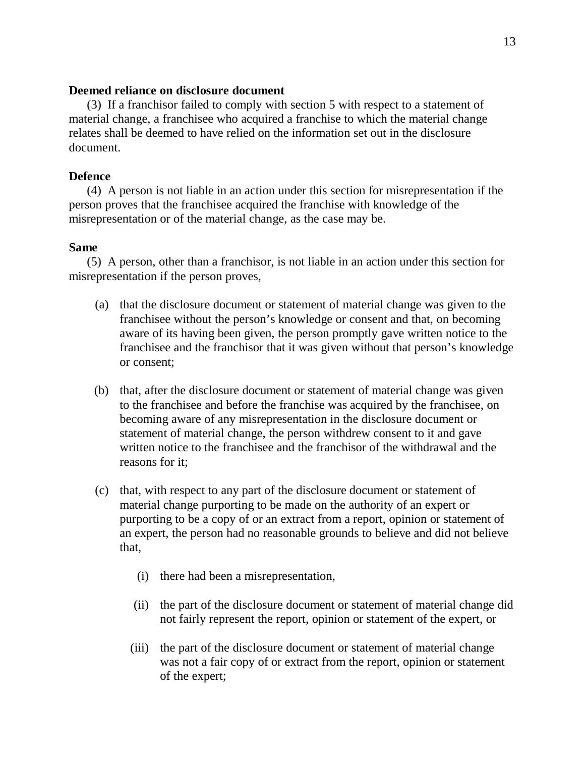### **Deemed reliance on disclosure document**

(3) If a franchisor failed to comply with section 5 with respect to a statement of material change, a franchisee who acquired a franchise to which the material change relates shall be deemed to have relied on the information set out in the disclosure document.

### **Defence**

(4) A person is not liable in an action under this section for misrepresentation if the person proves that the franchisee acquired the franchise with knowledge of the misrepresentation or of the material change, as the case may be.

### **Same**

(5) A person, other than a franchisor, is not liable in an action under this section for misrepresentation if the person proves,

- (a) that the disclosure document or statement of material change was given to the franchisee without the person's knowledge or consent and that, on becoming aware of its having been given, the person promptly gave written notice to the franchisee and the franchisor that it was given without that person's knowledge or consent;
- (b) that, after the disclosure document or statement of material change was given to the franchisee and before the franchise was acquired by the franchisee, on becoming aware of any misrepresentation in the disclosure document or statement of material change, the person withdrew consent to it and gave written notice to the franchisee and the franchisor of the withdrawal and the reasons for it;
- (c) that, with respect to any part of the disclosure document or statement of material change purporting to be made on the authority of an expert or purporting to be a copy of or an extract from a report, opinion or statement of an expert, the person had no reasonable grounds to believe and did not believe that,
	- (i) there had been a misrepresentation,
	- (ii) the part of the disclosure document or statement of material change did not fairly represent the report, opinion or statement of the expert, or
	- (iii) the part of the disclosure document or statement of material change was not a fair copy of or extract from the report, opinion or statement of the expert;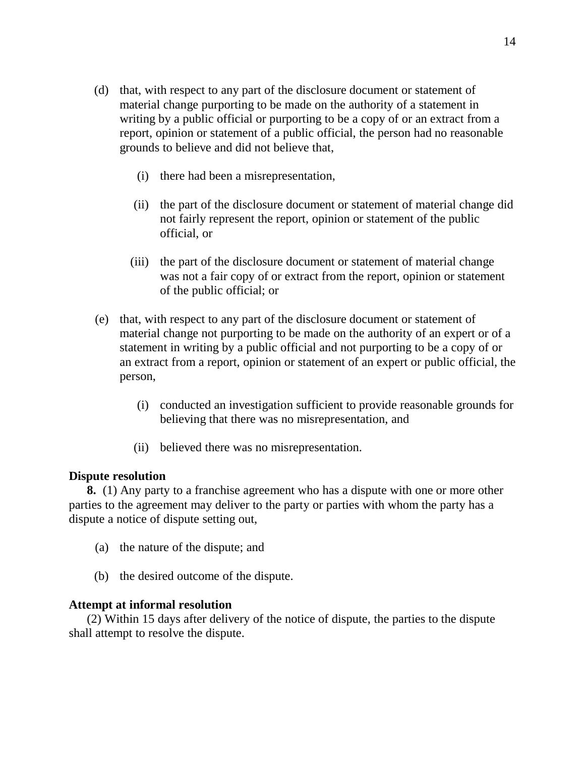- (d) that, with respect to any part of the disclosure document or statement of material change purporting to be made on the authority of a statement in writing by a public official or purporting to be a copy of or an extract from a report, opinion or statement of a public official, the person had no reasonable grounds to believe and did not believe that,
	- (i) there had been a misrepresentation,
	- (ii) the part of the disclosure document or statement of material change did not fairly represent the report, opinion or statement of the public official, or
	- (iii) the part of the disclosure document or statement of material change was not a fair copy of or extract from the report, opinion or statement of the public official; or
- (e) that, with respect to any part of the disclosure document or statement of material change not purporting to be made on the authority of an expert or of a statement in writing by a public official and not purporting to be a copy of or an extract from a report, opinion or statement of an expert or public official, the person,
	- (i) conducted an investigation sufficient to provide reasonable grounds for believing that there was no misrepresentation, and
	- (ii) believed there was no misrepresentation.

### **Dispute resolution**

**8.** (1) Any party to a franchise agreement who has a dispute with one or more other parties to the agreement may deliver to the party or parties with whom the party has a dispute a notice of dispute setting out,

- (a) the nature of the dispute; and
- (b) the desired outcome of the dispute.

### **Attempt at informal resolution**

(2) Within 15 days after delivery of the notice of dispute, the parties to the dispute shall attempt to resolve the dispute.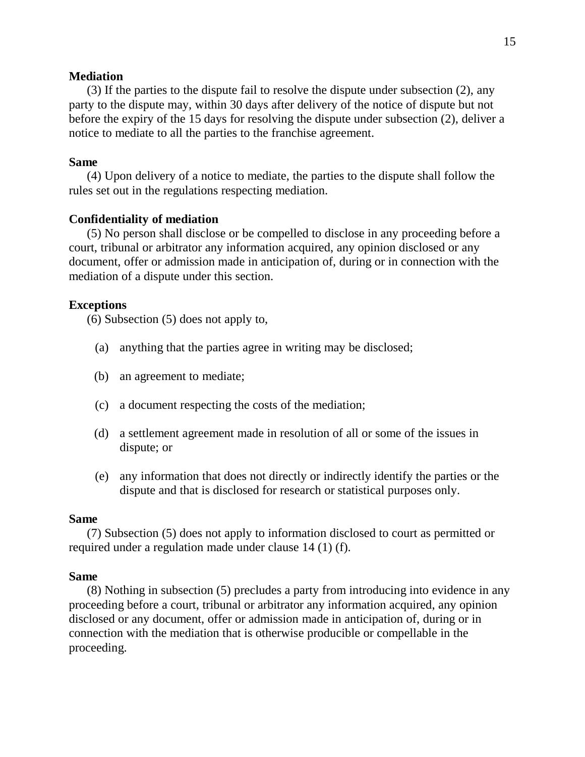#### **Mediation**

(3) If the parties to the dispute fail to resolve the dispute under subsection (2), any party to the dispute may, within 30 days after delivery of the notice of dispute but not before the expiry of the 15 days for resolving the dispute under subsection (2), deliver a notice to mediate to all the parties to the franchise agreement.

#### **Same**

(4) Upon delivery of a notice to mediate, the parties to the dispute shall follow the rules set out in the regulations respecting mediation.

#### **Confidentiality of mediation**

(5) No person shall disclose or be compelled to disclose in any proceeding before a court, tribunal or arbitrator any information acquired, any opinion disclosed or any document, offer or admission made in anticipation of, during or in connection with the mediation of a dispute under this section.

#### **Exceptions**

(6) Subsection (5) does not apply to,

- (a) anything that the parties agree in writing may be disclosed;
- (b) an agreement to mediate;
- (c) a document respecting the costs of the mediation;
- (d) a settlement agreement made in resolution of all or some of the issues in dispute; or
- (e) any information that does not directly or indirectly identify the parties or the dispute and that is disclosed for research or statistical purposes only.

#### **Same**

(7) Subsection (5) does not apply to information disclosed to court as permitted or required under a regulation made under clause 14 (1) (f).

#### **Same**

(8) Nothing in subsection (5) precludes a party from introducing into evidence in any proceeding before a court, tribunal or arbitrator any information acquired, any opinion disclosed or any document, offer or admission made in anticipation of, during or in connection with the mediation that is otherwise producible or compellable in the proceeding.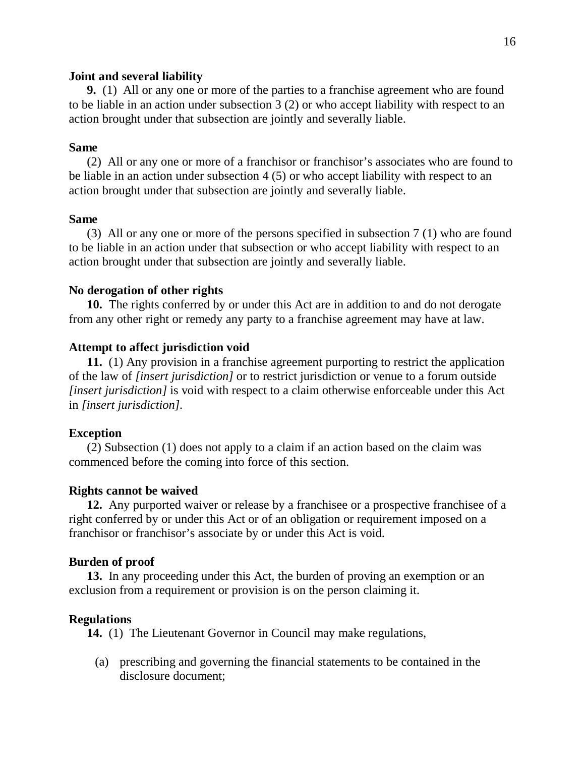#### **Joint and several liability**

**9.** (1) All or any one or more of the parties to a franchise agreement who are found to be liable in an action under subsection 3 (2) or who accept liability with respect to an action brought under that subsection are jointly and severally liable.

### **Same**

(2) All or any one or more of a franchisor or franchisor's associates who are found to be liable in an action under subsection 4 (5) or who accept liability with respect to an action brought under that subsection are jointly and severally liable.

### **Same**

(3) All or any one or more of the persons specified in subsection 7 (1) who are found to be liable in an action under that subsection or who accept liability with respect to an action brought under that subsection are jointly and severally liable.

### **No derogation of other rights**

**10.** The rights conferred by or under this Act are in addition to and do not derogate from any other right or remedy any party to a franchise agreement may have at law.

# **Attempt to affect jurisdiction void**

**11.** (1) Any provision in a franchise agreement purporting to restrict the application of the law of *[insert jurisdiction]* or to restrict jurisdiction or venue to a forum outside *[insert jurisdiction]* is void with respect to a claim otherwise enforceable under this Act in *[insert jurisdiction]*.

### **Exception**

(2) Subsection (1) does not apply to a claim if an action based on the claim was commenced before the coming into force of this section.

### **Rights cannot be waived**

**12.** Any purported waiver or release by a franchisee or a prospective franchisee of a right conferred by or under this Act or of an obligation or requirement imposed on a franchisor or franchisor's associate by or under this Act is void.

### **Burden of proof**

**13.** In any proceeding under this Act, the burden of proving an exemption or an exclusion from a requirement or provision is on the person claiming it.

### **Regulations**

**14.** (1) The Lieutenant Governor in Council may make regulations,

(a) prescribing and governing the financial statements to be contained in the disclosure document;